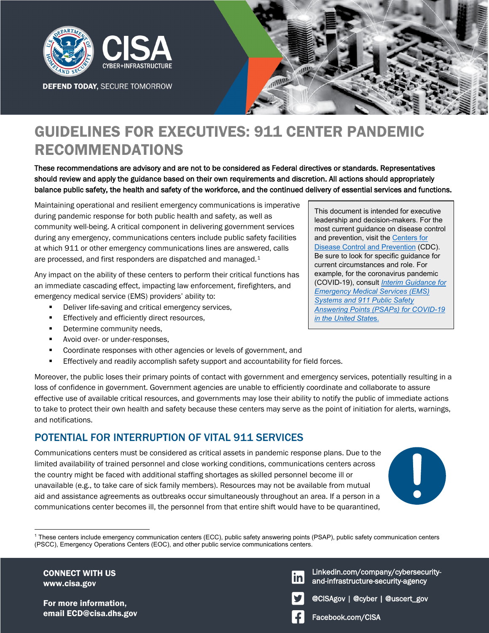

**DEFEND TODAY, SECURE TOMORROW** 



# GUIDELINES FOR EXECUTIVES: 911 CENTER PANDEMIC RECOMMENDATIONS

These recommendations are advisory and are not to be considered as Federal directives or standards. Representatives should review and apply the guidance based on their own requirements and discretion. All actions should appropriately balance public safety, the health and safety of the workforce, and the continued delivery of essential services and functions.

Maintaining operational and resilient emergency communications is imperative during pandemic response for both public health and safety, as well as community well-being. A critical component in delivering government services during any emergency, communications centers include public safety facilities at which 911 or other emergency communications lines are answered, calls are processed, and first responders are dispatched and managed.[1](#page-0-0)

Any impact on the ability of these centers to perform their critical functions has an immediate cascading effect, impacting law enforcement, firefighters, and emergency medical service (EMS) providers' ability to:

- **Deliver life-saving and critical emergency services,**
- **Effectively and efficiently direct resources,**
- **•** Determine community needs,
- **Avoid over- or under-responses,**
- **Coordinate responses with other agencies or levels of government, and**
- Effectively and readily accomplish safety support and accountability for field forces.

This document is intended for executive leadership and decision-makers. For the most current guidance on disease control and prevention, visit the [Centers for](https://www.cdc.gov/)  [Disease Control and Prevention](https://www.cdc.gov/) (CDC). Be sure to look for specific guidance for current circumstances and role. For example, for the coronavirus pandemic (COVID-19), consult *[Interim Guidance for](https://www.cdc.gov/coronavirus/2019-ncov/hcp/guidance-for-ems.html)  [Emergency Medical Services \(EMS\)](https://www.cdc.gov/coronavirus/2019-ncov/hcp/guidance-for-ems.html)  [Systems and 911 Public Safety](https://www.cdc.gov/coronavirus/2019-ncov/hcp/guidance-for-ems.html)  [Answering Points \(PSAPs\) for COVID-19](https://www.cdc.gov/coronavirus/2019-ncov/hcp/guidance-for-ems.html)  [in the United State](https://www.cdc.gov/coronavirus/2019-ncov/hcp/guidance-for-ems.html)*s.

Moreover, the public loses their primary points of contact with government and emergency services, potentially resulting in a loss of confidence in government. Government agencies are unable to efficiently coordinate and collaborate to assure effective use of available critical resources, and governments may lose their ability to notify the public of immediate actions to take to protect their own health and safety because these centers may serve as the point of initiation for alerts, warnings, and notifications.

#### POTENTIAL FOR INTERRUPTION OF VITAL 911 SERVICES

Communications centers must be considered as critical assets in pandemic response plans. Due to the limited availability of trained personnel and close working conditions, communications centers across the country might be faced with additional staffing shortages as skilled personnel become ill or unavailable (e.g., to take care of sick family members). Resources may not be available from mutual aid and assistance agreements as outbreaks occur simultaneously throughout an area. If a person in a communications center becomes ill, the personnel from that entire shift would have to be quarantined,



<span id="page-0-0"></span>1 These centers include emergency communication centers (ECC), public safety answering points (PSAP), public safety communication centers (PSCC), Emergency Operations Centers (EOC), and other public service communications centers.

CONNECT WITH US www.cisa.gov

 $\overline{a}$ 

For more information, email ECD@cisa.dhs.gov Facebook.com/CISA

Linkedin.com/company/cybersecurityand-infrastructure-security-agency



@CISAgov | @cyber | @uscert\_gov

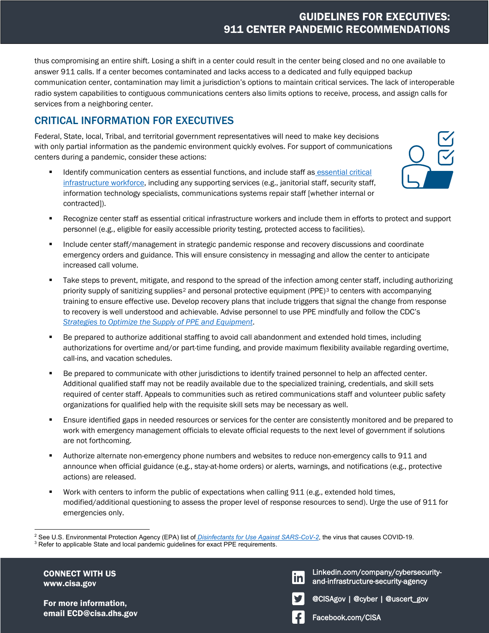thus compromising an entire shift. Losing a shift in a center could result in the center being closed and no one available to answer 911 calls. If a center becomes contaminated and lacks access to a dedicated and fully equipped backup communication center, contamination may limit a jurisdiction's options to maintain critical services. The lack of interoperable radio system capabilities to contiguous communications centers also limits options to receive, process, and assign calls for services from a neighboring center.

## CRITICAL INFORMATION FOR EXECUTIVES

Federal, State, local, Tribal, and territorial government representatives will need to make key decisions with only partial information as the pandemic environment quickly evolves. For support of communications centers during a pandemic, consider these actions:

**IDENTIFY COMMUNICATION CENTERS AS ESSENTIAL functions, and include staff as essential critical** [infrastructure workforce,](https://www.cisa.gov/publication/guidance-essential-critical-infrastructure-workforce) including any supporting services (e.g., janitorial staff, security staff, information technology specialists, communications systems repair staff [whether internal or contracted]).



- **Include center staff/management in strategic pandemic response and recovery discussions and coordinate** emergency orders and guidance. This will ensure consistency in messaging and allow the center to anticipate increased call volume.
- Take steps to prevent, mitigate, and respond to the spread of the infection among center staff, including authorizing priority supply of sanitizing supplies<sup>[2](#page-1-0)</sup> and personal protective equipment (PPE)<sup>[3](#page-1-1)</sup> to centers with accompanying training to ensure effective use. Develop recovery plans that include triggers that signal the change from response to recovery is well understood and achievable. Advise personnel to use PPE mindfully and follow the CDC's *[Strategies to Optimize the Supply of PPE and Equipment](https://www.cdc.gov/coronavirus/2019-ncov/hcp/ppe-strategy/index.html?CDC_AA_refVal=https%3A%2F%2Fwww.cdc.gov%2Fcoronavirus%2F2019-ncov%2Fhcp%2Fhealthcare-supply-ppe-index.html)*.
- Be prepared to authorize additional staffing to avoid call abandonment and extended hold times, including authorizations for overtime and/or part-time funding, and provide maximum flexibility available regarding overtime, call-ins, and vacation schedules.
- Be prepared to communicate with other jurisdictions to identify trained personnel to help an affected center. Additional qualified staff may not be readily available due to the specialized training, credentials, and skill sets required of center staff. Appeals to communities such as retired communications staff and volunteer public safety organizations for qualified help with the requisite skill sets may be necessary as well.
- **Ensure identified gaps in needed resources or services for the center are consistently monitored and be prepared to** work with emergency management officials to elevate official requests to the next level of government if solutions are not forthcoming.
- **Authorize alternate non-emergency phone numbers and websites to reduce non-emergency calls to 911 and** announce when official guidance (e.g., stay-at-home orders) or alerts, warnings, and notifications (e.g., protective actions) are released.
- **Work with centers to inform the public of expectations when calling 911 (e.g., extended hold times,** modified/additional questioning to assess the proper level of response resources to send). Urge the use of 911 for emergencies only.

CONNECT WITH US www.cisa.gov

 $\overline{a}$ 

For more information, email ECD@cisa.dhs.gov Linkedin.com/company/cybersecurityand-infrastructure-security-agency and-infrastructure-security-agency Linkedin.com/company/cybersecurity-





Facebook.com/CISA

<span id="page-1-0"></span><sup>&</sup>lt;sup>2</sup> See U.S. Environmental Protection Agency (EPA) list o<u>f *Disinfectants for Use Against SARS-CoV-2*,</u> the virus that causes COVID-19.<br><sup>3</sup> Befer to applicable State and local pandemic quidelines for exact PPE requirement

<span id="page-1-1"></span><sup>&</sup>lt;sup>3</sup> Refer to applicable State and local pandemic guidelines for exact PPE requirements.